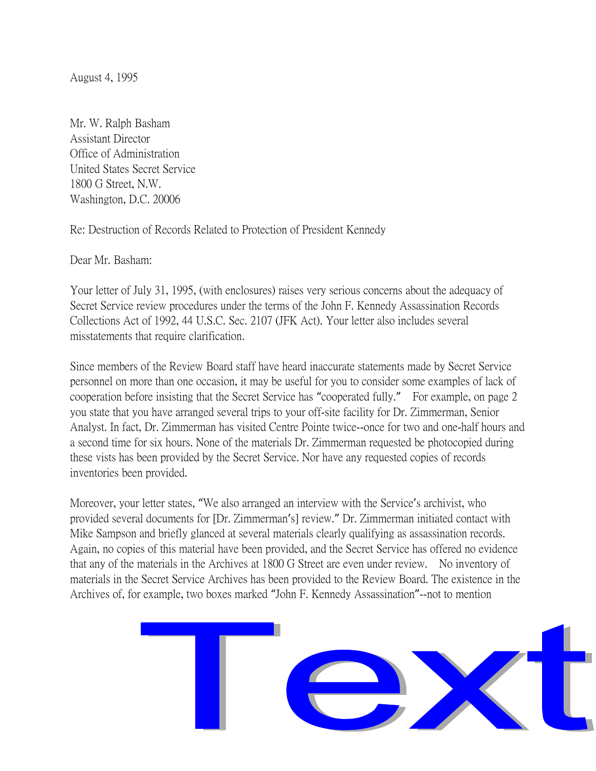August 4, 1995

Mr. W. Ralph Basham Assistant Director Office of Administration United States Secret Service 1800 G Street, N.W. Washington, D.C. 20006

Re: Destruction of Records Related to Protection of President Kennedy

Dear Mr. Basham:

Your letter of July 31, 1995, (with enclosures) raises very serious concerns about the adequacy of Secret Service review procedures under the terms of the John F. Kennedy Assassination Records Collections Act of 1992, 44 U.S.C. Sec. 2107 (JFK Act). Your letter also includes several misstatements that require clarification.

Since members of the Review Board staff have heard inaccurate statements made by Secret Service personnel on more than one occasion, it may be useful for you to consider some examples of lack of cooperation before insisting that the Secret Service has "cooperated fully." For example, on page 2 you state that you have arranged several trips to your off-site facility for Dr. Zimmerman, Senior Analyst. In fact, Dr. Zimmerman has visited Centre Pointe twice--once for two and one-half hours and a second time for six hours. None of the materials Dr. Zimmerman requested be photocopied during these vists has been provided by the Secret Service. Nor have any requested copies of records inventories been provided.

Moreover, your letter states, "We also arranged an interview with the Service's archivist, who provided several documents for [Dr. Zimmerman's] review." Dr. Zimmerman initiated contact with Mike Sampson and briefly glanced at several materials clearly qualifying as assassination records. Again, no copies of this material have been provided, and the Secret Service has offered no evidence that any of the materials in the Archives at 1800 G Street are even under review. No inventory of materials in the Secret Service Archives has been provided to the Review Board. The existence in the Archives of, for example, two boxes marked "John F. Kennedy Assassination"--not to mention